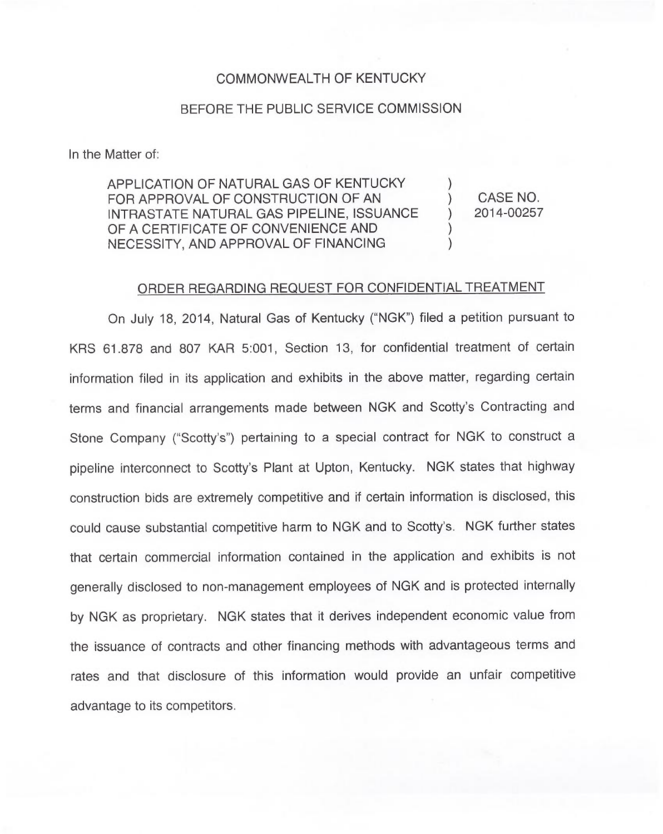## COMMONWEALTH OF KENTUCKY

## BEFORE THE PUBLIC SERVICE COMMISSION

In the Matter of:

APPLICATION OF NATURAL GAS OF KENTUCKY FOR APPROVAL OF CONSTRUCTION OF AN INTRASTATE NATURAL GAS PIPELINE, ISSUANCE OF A CERTIFICATE OF CONVENIENCE AND NECESSITY, AND APPROVAL OF FINANCING )

) CASE NO.<br>
1 2014-00257 ) 2014-00257

)

)

## ORDER REGARDING REQUEST FOR CONFIDENTIAL TREATMENT

On July 18, 2014, Natural Gas of Kentucky ("NGK") filed a petition pursuant to KRS 61.878 and 807 KAR 5:001, Section 13, for confidential treatment of certain information filed in its application and exhibits in the above matter, regarding certain terms and financial arrangements made between NGK and Scotty's Contracting and Stone Company ("Scotty's") pertaining to a special contract for NGK to construct a pipeline interconnect to Scotty's Plant at Upton, Kentucky. NGK states that highway construction bids are extremely competitive and if certain information is disclosed, this could cause substantial competitive harm to NGK and to Scotty's. NGK further states that certain commercial information contained in the application and exhibits is not generally disclosed to non-management employees of NGK and is protected internally by NGK as proprietary. NGK states that it derives independent economic value from the issuance of contracts and other financing methods with advantageous terms and rates and that disclosure of this information would provide an unfair competitive advantage to its competitors.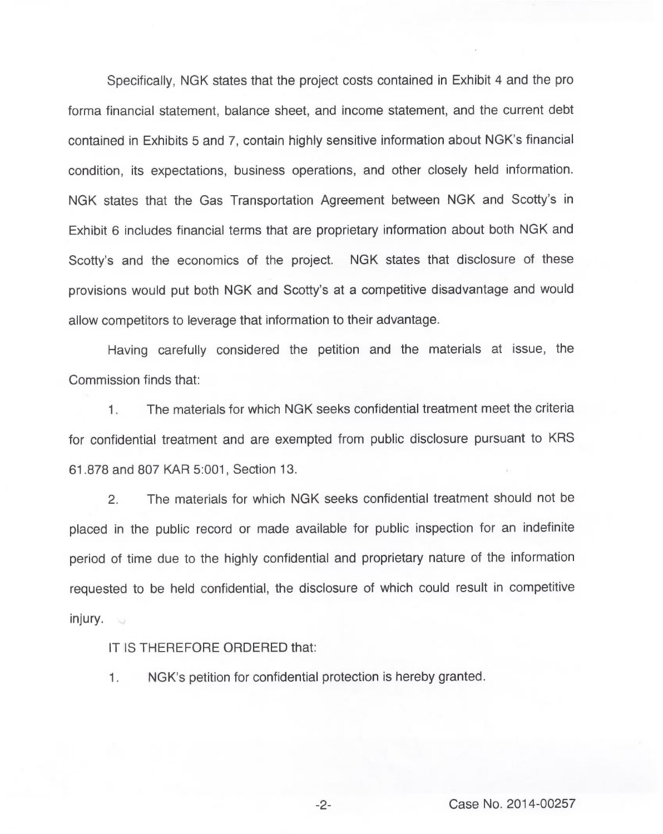Specifically, NGK states that the project costs contained in Exhibit 4 and the pro forma financial statement, balance sheet, and income statement, and the current debt contained in Exhibits 5 and 7, contain highly sensitive information about NGK's financial condition, its expectations, business operations, and other closely held information. NGK states that the Gas Transportation Agreement between NGK and Scotty's in Exhibit 6 includes financial terms that are proprietary information about both NGK and Scotty's and the economics of the project. NGK states that disclosure of these provisions would put both NGK and Scotty's at a competitive disadvantage and would allow competitors to leverage that information to their advantage.

Having carefully considered the petition and the materials at issue, the Commission finds that:

The materials for which NGK seeks confidential treatment meet the criteria  $1.$ for confidential treatment and are exempted from public disclosure pursuant to KRS 61.878 and 807 KAR 5:001, Section 13.

2. The materials for which NGK seeks confidential treatment should not be placed in the public record or made available for public inspection for an indefinite period of time due to the highly confidential and proprietary nature of the information requested to be held confidential, the disclosure of which could result in competitive injury.

IT IS THEREFORE ORDERED that:

1. NGK's petition for confidential protection is hereby granted.

 $-2-$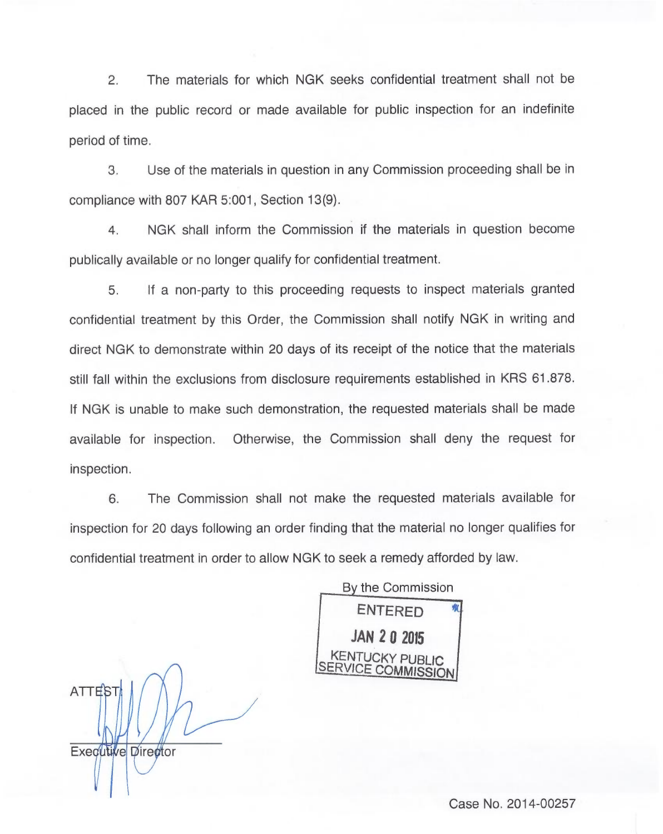2. The materials for which NGK seeks confidential treatment shall not be placed in the public record or made available for public inspection for an indefinite period of time.

3. Use of the materials in question in any Commission proceeding shall be in compliance with 807 KAR 5:001, Section 13(9).

4. NGK shall inform the Commission if the materials in question become publically available or no longer qualify for confidential treatment.

5. If a non-party to this proceeding requests to inspect materials granted confidential treatment by this Order, the Commission shall notify NGK in writing and direct NGK to demonstrate within 20 days of its receipt of the notice that the materials still fall within the exclusions from disclosure requirements established in KRS 61.878. If NGK is unable to make such demonstration, the requested materials shall be made available for inspection. Otherwise, the Commission shall deny the request for inspection.

6. The Commission shall not make the requested materials available for inspection for 20 days following an order finding that the material no longer qualifies for confidential treatment in order to allow NGK to seek a remedy afforded by law.

By the Commission ENTERED **JAN 20 2015** KENTUCKY PUBLIC<br>ERVICE COMMISSION

Executive Director

ATTES<sup>-</sup>

Case No. 2014-00257